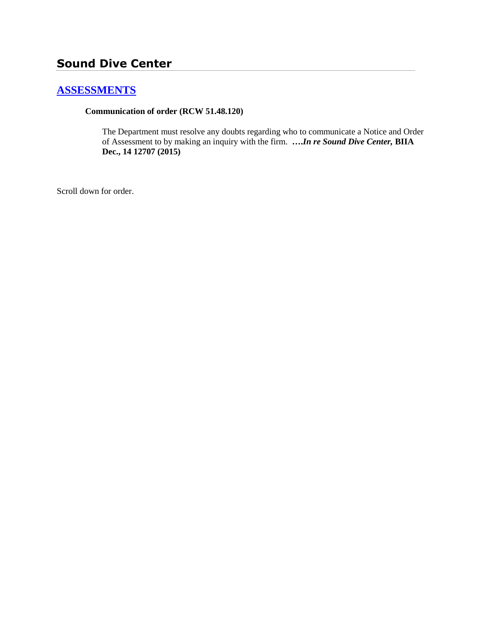# **Sound Dive Center**

## **[ASSESSMENTS](http://www.biia.wa.gov/SDSubjectIndex.html#ASSESSMENTS)**

#### **Communication of order (RCW 51.48.120)**

The Department must resolve any doubts regarding who to communicate a Notice and Order of Assessment to by making an inquiry with the firm. **….***In re Sound Dive Center,* **BIIA Dec., 14 12707 (2015)**

Scroll down for order.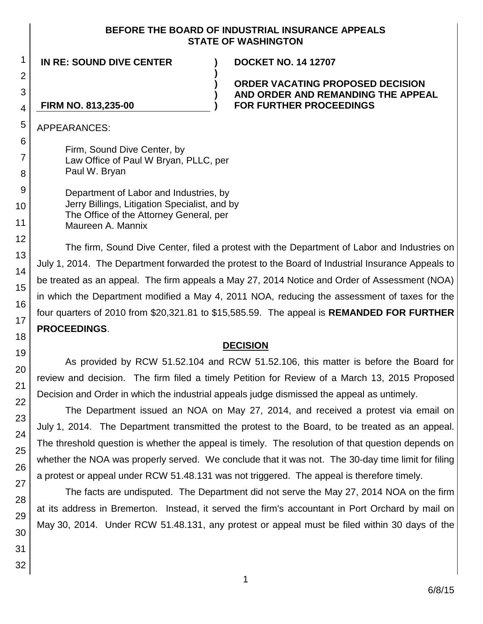#### **BEFORE THE BOARD OF INDUSTRIAL INSURANCE APPEALS STATE OF WASHINGTON**

**)**

**) ) )**

**IN RE: SOUND DIVE CENTER ) DOCKET NO. 14 12707**

**ORDER VACATING PROPOSED DECISION AND ORDER AND REMANDING THE APPEAL FOR FURTHER PROCEEDINGS**

### **FIRM NO. 813,235-00**

APPEARANCES:

Firm, Sound Dive Center, by Law Office of Paul W Bryan, PLLC, per Paul W. Bryan

Department of Labor and Industries, by Jerry Billings, Litigation Specialist, and by The Office of the Attorney General, per Maureen A. Mannix

The firm, Sound Dive Center, filed a protest with the Department of Labor and Industries on July 1, 2014. The Department forwarded the protest to the Board of Industrial Insurance Appeals to be treated as an appeal. The firm appeals a May 27, 2014 Notice and Order of Assessment (NOA) in which the Department modified a May 4, 2011 NOA, reducing the assessment of taxes for the four quarters of 2010 from \$20,321.81 to \$15,585.59. The appeal is **REMANDED FOR FURTHER PROCEEDINGS**.

## **DECISION**

As provided by RCW 51.52.104 and RCW 51.52.106, this matter is before the Board for review and decision. The firm filed a timely Petition for Review of a March 13, 2015 Proposed Decision and Order in which the industrial appeals judge dismissed the appeal as untimely.

The Department issued an NOA on May 27, 2014, and received a protest via email on July 1, 2014. The Department transmitted the protest to the Board, to be treated as an appeal. The threshold question is whether the appeal is timely. The resolution of that question depends on whether the NOA was properly served. We conclude that it was not. The 30-day time limit for filing a protest or appeal under RCW 51.48.131 was not triggered. The appeal is therefore timely.

The facts are undisputed. The Department did not serve the May 27, 2014 NOA on the firm at its address in Bremerton. Instead, it served the firm's accountant in Port Orchard by mail on May 30, 2014. Under RCW 51.48.131, any protest or appeal must be filed within 30 days of the

1

2

3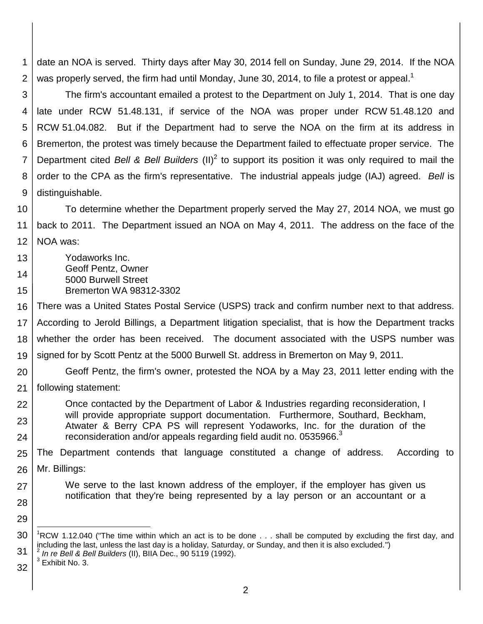1 2 date an NOA is served. Thirty days after May 30, 2014 fell on Sunday, June 29, 2014. If the NOA was properly served, the firm had until Monday, June 30, 2014, to file a protest or appeal.<sup>1</sup>

3 4 5 6 7 8 9 The firm's accountant emailed a protest to the Department on July 1, 2014. That is one day late under RCW 51.48.131, if service of the NOA was proper under RCW 51.48.120 and RCW 51.04.082. But if the Department had to serve the NOA on the firm at its address in Bremerton, the protest was timely because the Department failed to effectuate proper service. The Department cited Bell & Bell Builders (II)<sup>2</sup> to support its position it was only required to mail the order to the CPA as the firm's representative. The industrial appeals judge (IAJ) agreed. *Bell* is distinguishable.

10 11 12 To determine whether the Department properly served the May 27, 2014 NOA, we must go back to 2011. The Department issued an NOA on May 4, 2011. The address on the face of the NOA was:

13 14 15 Yodaworks Inc. Geoff Pentz, Owner 5000 Burwell Street Bremerton WA 98312-3302

16 17 18 19 There was a United States Postal Service (USPS) track and confirm number next to that address. According to Jerold Billings, a Department litigation specialist, that is how the Department tracks whether the order has been received. The document associated with the USPS number was signed for by Scott Pentz at the 5000 Burwell St. address in Bremerton on May 9, 2011.

- 20 Geoff Pentz, the firm's owner, protested the NOA by a May 23, 2011 letter ending with the
- 21 following statement:

22 23 24 Once contacted by the Department of Labor & Industries regarding reconsideration, I will provide appropriate support documentation. Furthermore, Southard, Beckham, Atwater & Berry CPA PS will represent Yodaworks, Inc. for the duration of the reconsideration and/or appeals regarding field audit no. 0535966.<sup>3</sup>

25 26 The Department contends that language constituted a change of address. According to Mr. Billings:

notification that they're being represented by a lay person or an accountant or a

- 27 We serve to the last known address of the employer, if the employer has given us
- 28

29

l

<sup>30</sup> 31 <sup>1</sup>RCW 1.12.040 ("The time within which an act is to be done  $\ldots$  shall be computed by excluding the first day, and including the last, unless the last day is a holiday, Saturday, or Sunday, and then it is also excluded.")<br><sup>2</sup> In se Rell & Rell Ruildare (I), BUA Dee, 00,5440 (4003)

*In re Bell & Bell Builders* (II), BIIA Dec., 90 5119 (1992).  $3$  Exhibit No. 3.

<sup>32</sup>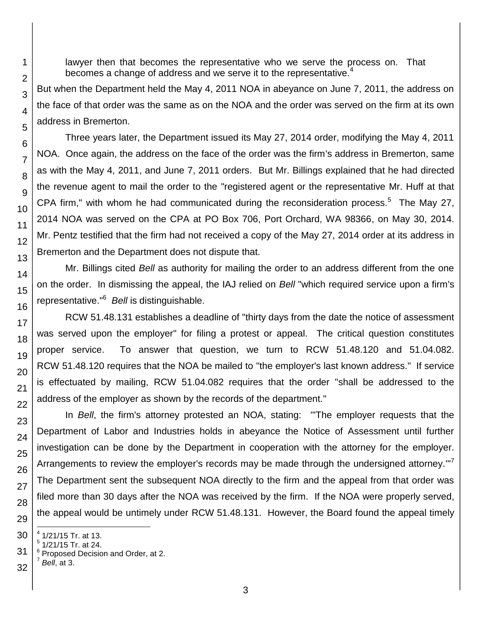lawyer then that becomes the representative who we serve the process on. That becomes a change of address and we serve it to the representative.<sup>4</sup>

But when the Department held the May 4, 2011 NOA in abeyance on June 7, 2011, the address on the face of that order was the same as on the NOA and the order was served on the firm at its own address in Bremerton.

Three years later, the Department issued its May 27, 2014 order, modifying the May 4, 2011 NOA. Once again, the address on the face of the order was the firm's address in Bremerton, same as with the May 4, 2011, and June 7, 2011 orders. But Mr. Billings explained that he had directed the revenue agent to mail the order to the "registered agent or the representative Mr. Huff at that CPA firm," with whom he had communicated during the reconsideration process. $5$  The May 27, 2014 NOA was served on the CPA at PO Box 706, Port Orchard, WA 98366, on May 30, 2014. Mr. Pentz testified that the firm had not received a copy of the May 27, 2014 order at its address in Bremerton and the Department does not dispute that.

Mr. Billings cited *Bell* as authority for mailing the order to an address different from the one on the order. In dismissing the appeal, the IAJ relied on *Bell* "which required service upon a firm's representative." 6 *Bell* is distinguishable.

RCW 51.48.131 establishes a deadline of "thirty days from the date the notice of assessment was served upon the employer" for filing a protest or appeal. The critical question constitutes proper service. To answer that question, we turn to RCW 51.48.120 and 51.04.082. RCW 51.48.120 requires that the NOA be mailed to "the employer's last known address." If service is effectuated by mailing, RCW 51.04.082 requires that the order "shall be addressed to the address of the employer as shown by the records of the department."

In *Bell*, the firm's attorney protested an NOA, stating: "'The employer requests that the Department of Labor and Industries holds in abeyance the Notice of Assessment until further investigation can be done by the Department in cooperation with the attorney for the employer. Arrangements to review the employer's records may be made through the undersigned attorney." $7$ The Department sent the subsequent NOA directly to the firm and the appeal from that order was filed more than 30 days after the NOA was received by the firm. If the NOA were properly served, the appeal would be untimely under RCW 51.48.131. However, the Board found the appeal timely

32

1

2

3

4

5

6

7

8

9

10

11 12

13

14

15

16

17 18

19

20

21

22

23

24

25

26

27

28

29

l

<sup>30</sup> 4 1/21/15 Tr. at 13.

<sup>5</sup> 1/21/15 Tr. at 24.

<sup>31</sup>  $6$  Proposed Decision and Order, at 2. 7 *Bell*, at 3.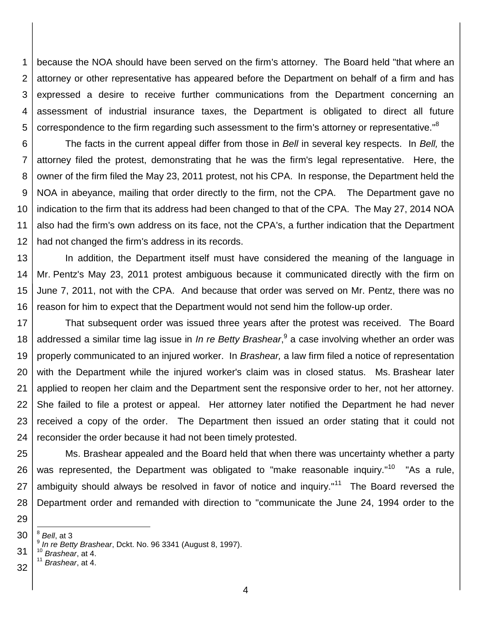1 2 3 4 5 because the NOA should have been served on the firm's attorney. The Board held "that where an attorney or other representative has appeared before the Department on behalf of a firm and has expressed a desire to receive further communications from the Department concerning an assessment of industrial insurance taxes, the Department is obligated to direct all future correspondence to the firm regarding such assessment to the firm's attorney or representative."<sup>8</sup>

6 7 8 9 10 11 12 The facts in the current appeal differ from those in *Bell* in several key respects. In *Bell,* the attorney filed the protest, demonstrating that he was the firm's legal representative. Here, the owner of the firm filed the May 23, 2011 protest, not his CPA. In response, the Department held the NOA in abeyance, mailing that order directly to the firm, not the CPA. The Department gave no indication to the firm that its address had been changed to that of the CPA. The May 27, 2014 NOA also had the firm's own address on its face, not the CPA's, a further indication that the Department had not changed the firm's address in its records.

13 14 15 16 In addition, the Department itself must have considered the meaning of the language in Mr. Pentz's May 23, 2011 protest ambiguous because it communicated directly with the firm on June 7, 2011, not with the CPA. And because that order was served on Mr. Pentz, there was no reason for him to expect that the Department would not send him the follow-up order.

17 18 19 20 21 22 23 24 That subsequent order was issued three years after the protest was received. The Board addressed a similar time lag issue in *In re Betty Brashear*, 9 a case involving whether an order was properly communicated to an injured worker. In *Brashear,* a law firm filed a notice of representation with the Department while the injured worker's claim was in closed status. Ms. Brashear later applied to reopen her claim and the Department sent the responsive order to her, not her attorney. She failed to file a protest or appeal. Her attorney later notified the Department he had never received a copy of the order. The Department then issued an order stating that it could not reconsider the order because it had not been timely protested.

25 26 27 28 Ms. Brashear appealed and the Board held that when there was uncertainty whether a party was represented, the Department was obligated to "make reasonable inquiry."<sup>10</sup> "As a rule, ambiguity should always be resolved in favor of notice and inquiry."<sup>11</sup> The Board reversed the Department order and remanded with direction to "communicate the June 24, 1994 order to the

30 l 8 *Bell*, at 3

29

- 31 <sup>10</sup> *Brashear*, at 4. <sup>11</sup> *Brashear*, at 4.
- 32

<sup>9</sup> *In re Betty Brashear*, Dckt. No. 96 3341 (August 8, 1997).